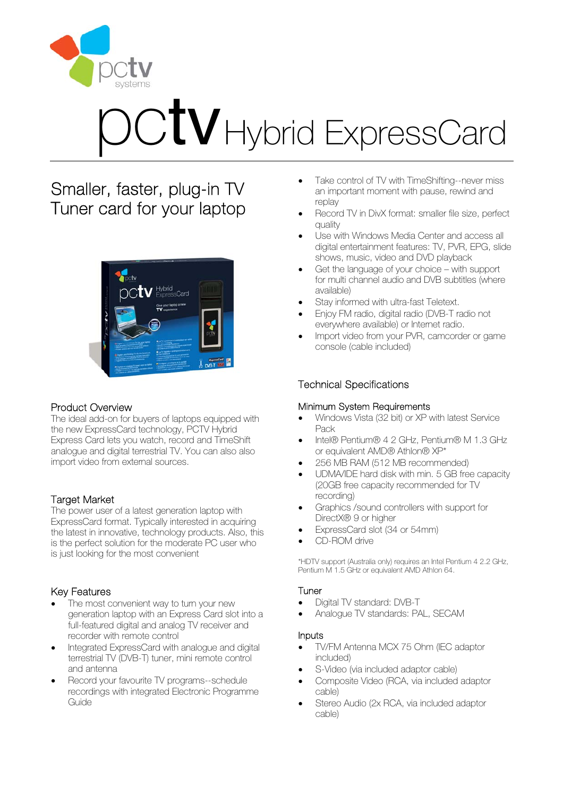

# $\mathrm{CV}$ Hybrid ExpressCard

## Smaller, faster, plug-in TV Tuner card for your laptop



## Product Overview

The ideal add-on for buyers of laptops equipped with the new ExpressCard technology, PCTV Hybrid Express Card lets you watch, record and TimeShift analogue and digital terrestrial TV. You can also also import video from external sources.

### Target Market

The power user of a latest generation laptop with ExpressCard format. Typically interested in acquiring the latest in innovative, technology products. Also, this is the perfect solution for the moderate PC user who is just looking for the most convenient

## Key Features

- The most convenient way to turn your new generation laptop with an Express Card slot into a full-featured digital and analog TV receiver and recorder with remote control
- Integrated ExpressCard with analogue and digital terrestrial TV (DVB-T) tuner, mini remote control and antenna
- Record your favourite TV programs--schedule recordings with integrated Electronic Programme Guide
- Take control of TV with TimeShifting--never miss an important moment with pause, rewind and replay
- Record TV in DivX format: smaller file size, perfect quality
- Use with Windows Media Center and access all digital entertainment features: TV, PVR, EPG, slide shows, music, video and DVD playback
- Get the language of your choice with support for multi channel audio and DVB subtitles (where available)
- Stay informed with ultra-fast Teletext.
- Enjoy FM radio, digital radio (DVB-T radio not everywhere available) or Internet radio.
- Import video from your PVR, camcorder or game console (cable included)

## Technical Specifications

#### Minimum System Requirements

- Windows Vista (32 bit) or XP with latest Service Pack
- Intel® Pentium® 4 2 GHz, Pentium® M 1.3 GHz or equivalent AMD® Athlon® XP\*
- 256 MB RAM (512 MB recommended)
- UDMA/IDE hard disk with min. 5 GB free capacity (20GB free capacity recommended for TV recording)
- Graphics /sound controllers with support for DirectX® 9 or higher
- ExpressCard slot (34 or 54mm)
- CD-ROM drive

\*HDTV support (Australia only) requires an Intel Pentium 4 2.2 GHz, Pentium M 1.5 GHz or equivalent AMD Athlon 64.

### Tuner

- Digital TV standard: DVB-T
- Analogue TV standards: PAL, SECAM

#### Inputs

- TV/FM Antenna MCX 75 Ohm (IEC adaptor included)
- S-Video (via included adaptor cable)
- Composite Video (RCA, via included adaptor cable)
- Stereo Audio (2x RCA, via included adaptor cable)